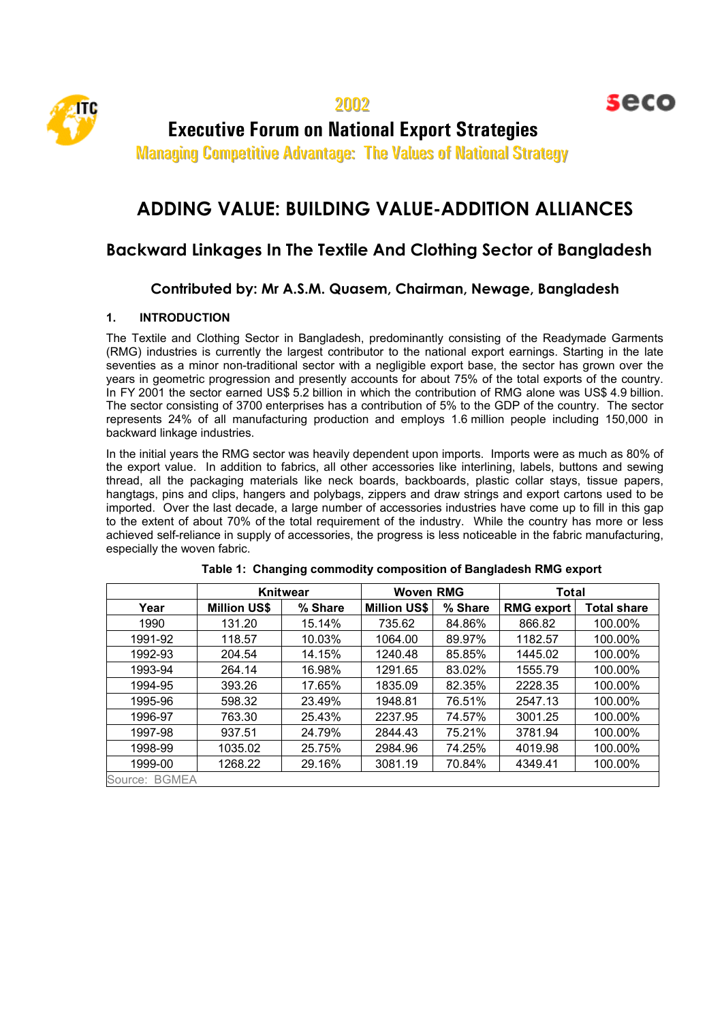

seco

**Executive Forum on National Export Strategies** 

Managing Competitive Advantage: The Values of National Strategy

# **ADDING VALUE: BUILDING VALUE-ADDITION ALLIANCES**

## **Backward Linkages In The Textile And Clothing Sector of Bangladesh**

### **Contributed by: Mr A.S.M. Quasem, Chairman, Newage, Bangladesh**

#### **1. INTRODUCTION**

The Textile and Clothing Sector in Bangladesh, predominantly consisting of the Readymade Garments (RMG) industries is currently the largest contributor to the national export earnings. Starting in the late seventies as a minor non-traditional sector with a negligible export base, the sector has grown over the years in geometric progression and presently accounts for about 75% of the total exports of the country. In FY 2001 the sector earned US\$ 5.2 billion in which the contribution of RMG alone was US\$ 4.9 billion. The sector consisting of 3700 enterprises has a contribution of 5% to the GDP of the country. The sector represents 24% of all manufacturing production and employs 1.6 million people including 150,000 in backward linkage industries.

In the initial years the RMG sector was heavily dependent upon imports. Imports were as much as 80% of the export value. In addition to fabrics, all other accessories like interlining, labels, buttons and sewing thread, all the packaging materials like neck boards, backboards, plastic collar stays, tissue papers, hangtags, pins and clips, hangers and polybags, zippers and draw strings and export cartons used to be imported. Over the last decade, a large number of accessories industries have come up to fill in this gap to the extent of about 70% of the total requirement of the industry. While the country has more or less achieved self-reliance in supply of accessories, the progress is less noticeable in the fabric manufacturing, especially the woven fabric.

|                  | <b>Knitwear</b>     |         | <b>Woven RMG</b>    |         | <b>Total</b>      |                    |
|------------------|---------------------|---------|---------------------|---------|-------------------|--------------------|
| Year             | <b>Million US\$</b> | % Share | <b>Million US\$</b> | % Share | <b>RMG export</b> | <b>Total share</b> |
| 1990             | 131.20              | 15.14%  | 735.62              | 84.86%  | 866.82            | 100.00%            |
| 1991-92          | 118.57              | 10.03%  | 1064.00             | 89.97%  | 1182.57           | 100.00%            |
| 1992-93          | 204.54              | 14.15%  | 1240.48             | 85.85%  | 1445.02           | 100.00%            |
| 1993-94          | 264.14              | 16.98%  | 1291.65             | 83.02%  | 1555.79           | 100.00%            |
| 1994-95          | 393.26              | 17.65%  | 1835.09             | 82.35%  | 2228.35           | 100.00%            |
| 1995-96          | 598.32              | 23.49%  | 1948.81             | 76.51%  | 2547.13           | 100.00%            |
| 1996-97          | 763.30              | 25.43%  | 2237.95             | 74.57%  | 3001.25           | 100.00%            |
| 1997-98          | 937.51              | 24.79%  | 2844.43             | 75.21%  | 3781.94           | 100.00%            |
| 1998-99          | 1035.02             | 25.75%  | 2984.96             | 74.25%  | 4019.98           | 100.00%            |
| 1999-00          | 1268.22             | 29.16%  | 3081.19             | 70.84%  | 4349.41           | 100.00%            |
| Source:<br>RGMEA |                     |         |                     |         |                   |                    |

|  |  |  | Table 1: Changing commodity composition of Bangladesh RMG export |  |  |  |
|--|--|--|------------------------------------------------------------------|--|--|--|
|--|--|--|------------------------------------------------------------------|--|--|--|

Source: BGMEA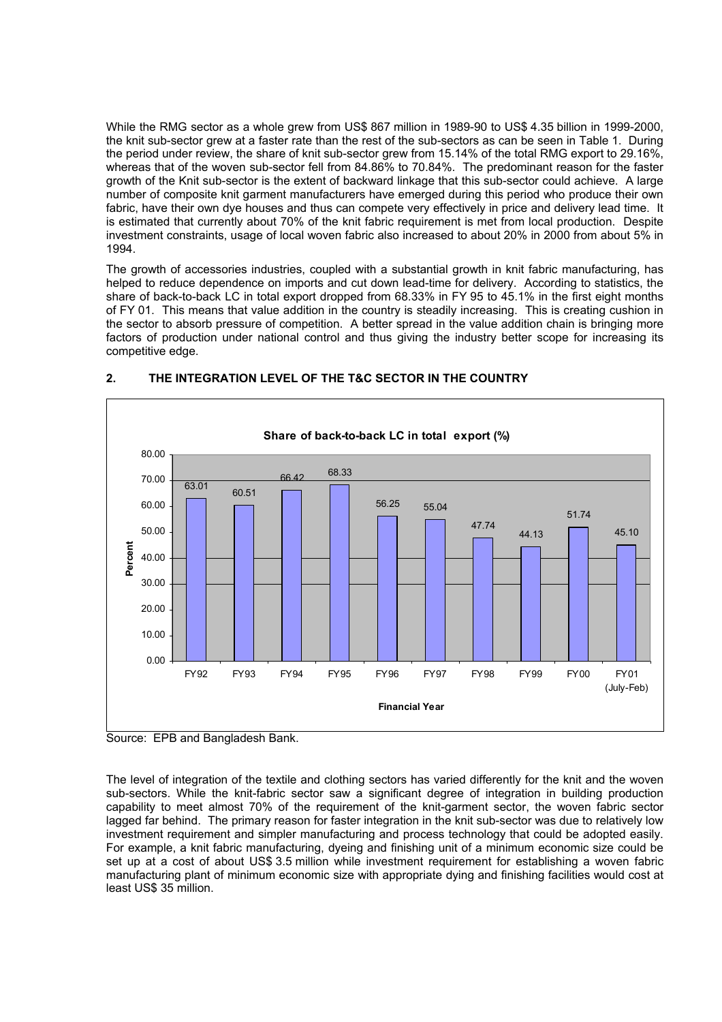While the RMG sector as a whole grew from US\$ 867 million in 1989-90 to US\$ 4.35 billion in 1999-2000, the knit sub-sector grew at a faster rate than the rest of the sub-sectors as can be seen in Table 1. During the period under review, the share of knit sub-sector grew from 15.14% of the total RMG export to 29.16%, whereas that of the woven sub-sector fell from 84.86% to 70.84%. The predominant reason for the faster growth of the Knit sub-sector is the extent of backward linkage that this sub-sector could achieve. A large number of composite knit garment manufacturers have emerged during this period who produce their own fabric, have their own dye houses and thus can compete very effectively in price and delivery lead time. It is estimated that currently about 70% of the knit fabric requirement is met from local production. Despite investment constraints, usage of local woven fabric also increased to about 20% in 2000 from about 5% in 1994.

The growth of accessories industries, coupled with a substantial growth in knit fabric manufacturing, has helped to reduce dependence on imports and cut down lead-time for delivery. According to statistics, the share of back-to-back LC in total export dropped from 68.33% in FY 95 to 45.1% in the first eight months of FY 01. This means that value addition in the country is steadily increasing. This is creating cushion in the sector to absorb pressure of competition. A better spread in the value addition chain is bringing more factors of production under national control and thus giving the industry better scope for increasing its competitive edge.



#### **2. THE INTEGRATION LEVEL OF THE T&C SECTOR IN THE COUNTRY**



The level of integration of the textile and clothing sectors has varied differently for the knit and the woven sub-sectors. While the knit-fabric sector saw a significant degree of integration in building production capability to meet almost 70% of the requirement of the knit-garment sector, the woven fabric sector lagged far behind. The primary reason for faster integration in the knit sub-sector was due to relatively low investment requirement and simpler manufacturing and process technology that could be adopted easily. For example, a knit fabric manufacturing, dyeing and finishing unit of a minimum economic size could be set up at a cost of about US\$ 3.5 million while investment requirement for establishing a woven fabric manufacturing plant of minimum economic size with appropriate dying and finishing facilities would cost at least US\$ 35 million.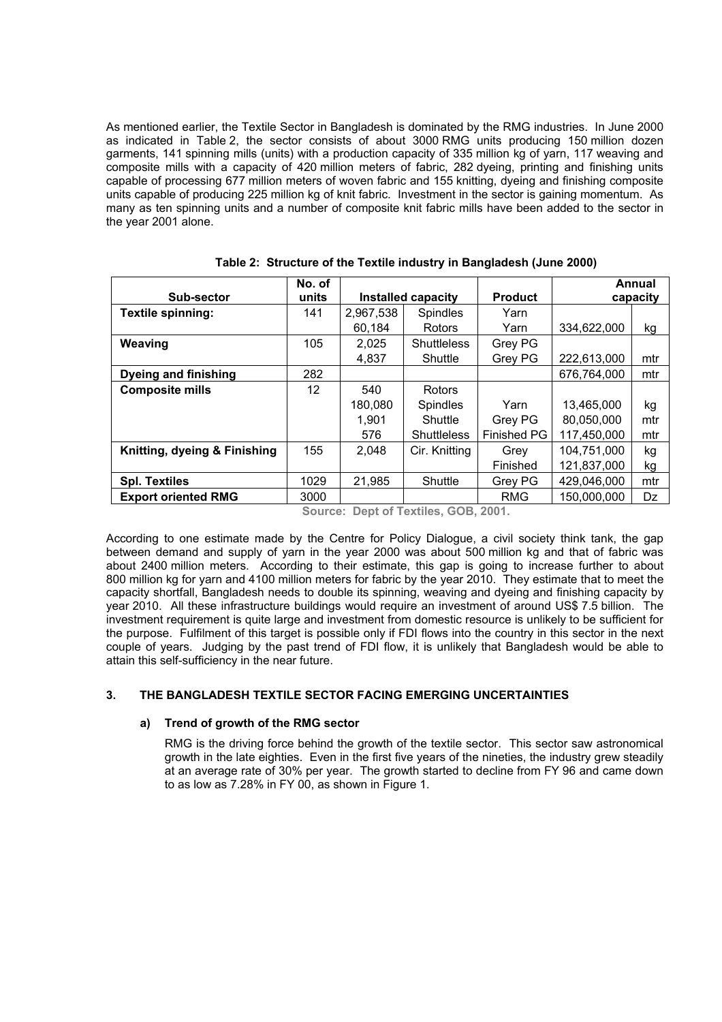As mentioned earlier, the Textile Sector in Bangladesh is dominated by the RMG industries. In June 2000 as indicated in Table 2, the sector consists of about 3000 RMG units producing 150 million dozen garments, 141 spinning mills (units) with a production capacity of 335 million kg of yarn, 117 weaving and composite mills with a capacity of 420 million meters of fabric, 282 dyeing, printing and finishing units capable of processing 677 million meters of woven fabric and 155 knitting, dyeing and finishing composite units capable of producing 225 million kg of knit fabric. Investment in the sector is gaining momentum. As many as ten spinning units and a number of composite knit fabric mills have been added to the sector in the year 2001 alone.

| Sub-sector                   | No. of<br>units | <b>Installed capacity</b> |                    | <b>Product</b>     | Annual<br>capacity |     |
|------------------------------|-----------------|---------------------------|--------------------|--------------------|--------------------|-----|
| Textile spinning:            | 141             | 2,967,538                 | Spindles           | Yarn               |                    |     |
|                              |                 | 60,184                    | Rotors             | Yarn               | 334,622,000        | kg  |
| Weaving                      | 105             | 2,025                     | <b>Shuttleless</b> | Grey PG            |                    |     |
|                              |                 | 4,837                     | Shuttle            | Grey PG            | 222,613,000        | mtr |
| <b>Dyeing and finishing</b>  | 282             |                           |                    |                    | 676,764,000        | mtr |
| <b>Composite mills</b>       | 12              | 540                       | Rotors             |                    |                    |     |
|                              |                 | 180,080                   | <b>Spindles</b>    | Yarn               | 13,465,000         | kg  |
|                              |                 | 1,901                     | Shuttle            | Grey PG            | 80,050,000         | mtr |
|                              |                 | 576                       | <b>Shuttleless</b> | <b>Finished PG</b> | 117,450,000        | mtr |
| Knitting, dyeing & Finishing | 155             | 2,048                     | Cir. Knitting      | Grey               | 104,751,000        | kg  |
|                              |                 |                           |                    | Finished           | 121,837,000        | kg  |
| <b>Spl. Textiles</b>         | 1029            | 21,985                    | Shuttle            | Grey PG            | 429,046,000        | mtr |
| <b>Export oriented RMG</b>   | 3000            |                           |                    | <b>RMG</b>         | 150,000,000        | Dz  |

|  |  |  |  |  | Table 2: Structure of the Textile industry in Bangladesh (June 2000) |  |  |
|--|--|--|--|--|----------------------------------------------------------------------|--|--|
|--|--|--|--|--|----------------------------------------------------------------------|--|--|

**Source: Dept of Textiles, GOB, 2001.** 

According to one estimate made by the Centre for Policy Dialogue, a civil society think tank, the gap between demand and supply of yarn in the year 2000 was about 500 million kg and that of fabric was about 2400 million meters. According to their estimate, this gap is going to increase further to about 800 million kg for yarn and 4100 million meters for fabric by the year 2010. They estimate that to meet the capacity shortfall, Bangladesh needs to double its spinning, weaving and dyeing and finishing capacity by year 2010. All these infrastructure buildings would require an investment of around US\$ 7.5 billion. The investment requirement is quite large and investment from domestic resource is unlikely to be sufficient for the purpose. Fulfilment of this target is possible only if FDI flows into the country in this sector in the next couple of years. Judging by the past trend of FDI flow, it is unlikely that Bangladesh would be able to attain this self-sufficiency in the near future.

#### **3. THE BANGLADESH TEXTILE SECTOR FACING EMERGING UNCERTAINTIES**

#### **a) Trend of growth of the RMG sector**

RMG is the driving force behind the growth of the textile sector. This sector saw astronomical growth in the late eighties. Even in the first five years of the nineties, the industry grew steadily at an average rate of 30% per year. The growth started to decline from FY 96 and came down to as low as 7.28% in FY 00, as shown in Figure 1.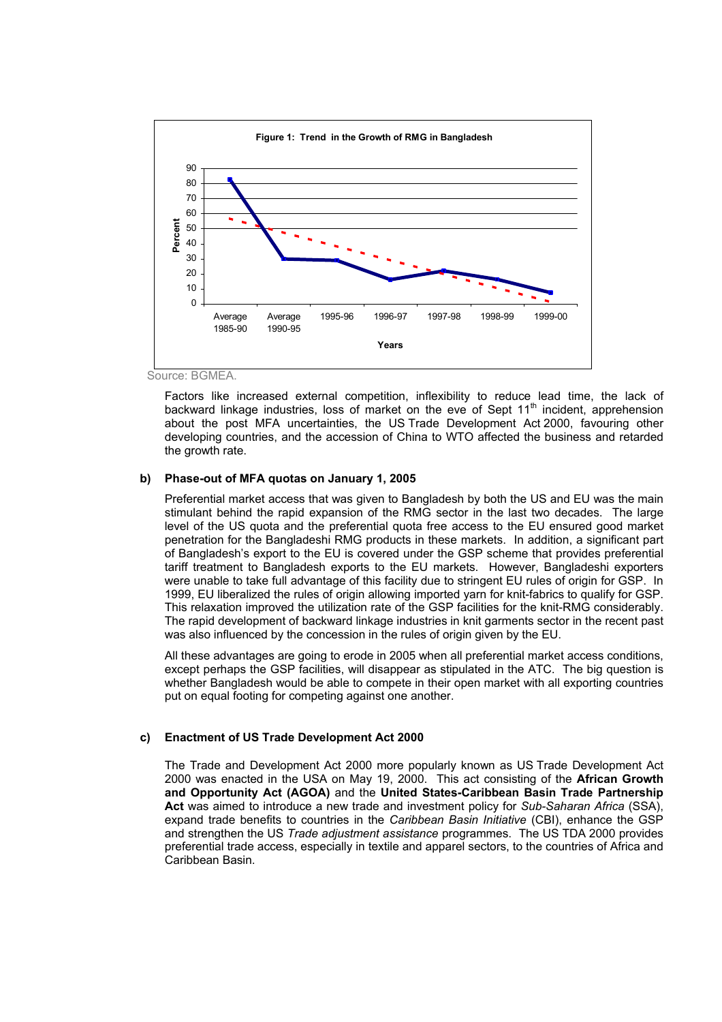

Source: BGMEA.

Factors like increased external competition, inflexibility to reduce lead time, the lack of backward linkage industries, loss of market on the eve of Sept  $11<sup>th</sup>$  incident, apprehension about the post MFA uncertainties, the US Trade Development Act 2000, favouring other developing countries, and the accession of China to WTO affected the business and retarded the growth rate.

#### **b) Phase-out of MFA quotas on January 1, 2005**

Preferential market access that was given to Bangladesh by both the US and EU was the main stimulant behind the rapid expansion of the RMG sector in the last two decades. The large level of the US quota and the preferential quota free access to the EU ensured good market penetration for the Bangladeshi RMG products in these markets. In addition, a significant part of Bangladesh's export to the EU is covered under the GSP scheme that provides preferential tariff treatment to Bangladesh exports to the EU markets. However, Bangladeshi exporters were unable to take full advantage of this facility due to stringent EU rules of origin for GSP. In 1999, EU liberalized the rules of origin allowing imported yarn for knit-fabrics to qualify for GSP. This relaxation improved the utilization rate of the GSP facilities for the knit-RMG considerably. The rapid development of backward linkage industries in knit garments sector in the recent past was also influenced by the concession in the rules of origin given by the EU.

All these advantages are going to erode in 2005 when all preferential market access conditions, except perhaps the GSP facilities, will disappear as stipulated in the ATC. The big question is whether Bangladesh would be able to compete in their open market with all exporting countries put on equal footing for competing against one another.

#### **c) Enactment of US Trade Development Act 2000**

The Trade and Development Act 2000 more popularly known as US Trade Development Act 2000 was enacted in the USA on May 19, 2000. This act consisting of the **African Growth and Opportunity Act (AGOA)** and the **United States-Caribbean Basin Trade Partnership Act** was aimed to introduce a new trade and investment policy for *Sub-Saharan Africa* (SSA), expand trade benefits to countries in the *Caribbean Basin Initiative* (CBI), enhance the GSP and strengthen the US *Trade adjustment assistance* programmes. The US TDA 2000 provides preferential trade access, especially in textile and apparel sectors, to the countries of Africa and Caribbean Basin.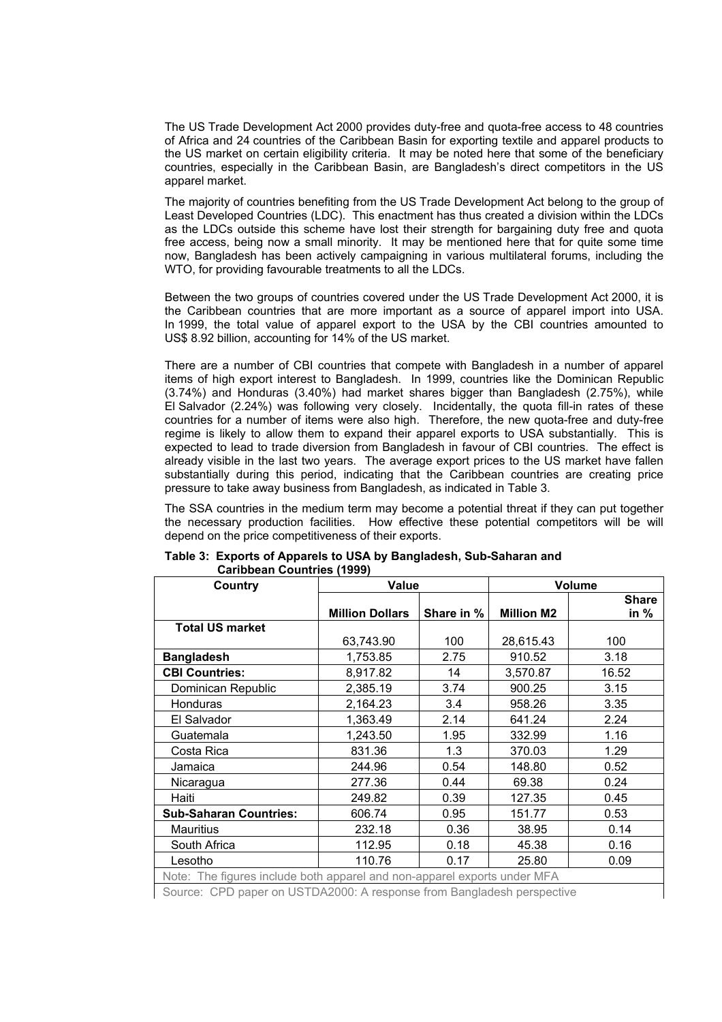The US Trade Development Act 2000 provides duty-free and quota-free access to 48 countries of Africa and 24 countries of the Caribbean Basin for exporting textile and apparel products to the US market on certain eligibility criteria. It may be noted here that some of the beneficiary countries, especially in the Caribbean Basin, are Bangladesh's direct competitors in the US apparel market.

The majority of countries benefiting from the US Trade Development Act belong to the group of Least Developed Countries (LDC). This enactment has thus created a division within the LDCs as the LDCs outside this scheme have lost their strength for bargaining duty free and quota free access, being now a small minority. It may be mentioned here that for quite some time now, Bangladesh has been actively campaigning in various multilateral forums, including the WTO, for providing favourable treatments to all the LDCs.

Between the two groups of countries covered under the US Trade Development Act 2000, it is the Caribbean countries that are more important as a source of apparel import into USA. In 1999, the total value of apparel export to the USA by the CBI countries amounted to US\$ 8.92 billion, accounting for 14% of the US market.

There are a number of CBI countries that compete with Bangladesh in a number of apparel items of high export interest to Bangladesh. In 1999, countries like the Dominican Republic (3.74%) and Honduras (3.40%) had market shares bigger than Bangladesh (2.75%), while El Salvador (2.24%) was following very closely. Incidentally, the quota fill-in rates of these countries for a number of items were also high. Therefore, the new quota-free and duty-free regime is likely to allow them to expand their apparel exports to USA substantially. This is expected to lead to trade diversion from Bangladesh in favour of CBI countries. The effect is already visible in the last two years. The average export prices to the US market have fallen substantially during this period, indicating that the Caribbean countries are creating price pressure to take away business from Bangladesh, as indicated in Table 3.

The SSA countries in the medium term may become a potential threat if they can put together the necessary production facilities. How effective these potential competitors will be will depend on the price competitiveness of their exports.

| Country                                                                  | <b>Value</b>           |            | Volume            |              |  |
|--------------------------------------------------------------------------|------------------------|------------|-------------------|--------------|--|
|                                                                          |                        |            |                   | <b>Share</b> |  |
|                                                                          | <b>Million Dollars</b> | Share in % | <b>Million M2</b> | in %         |  |
| <b>Total US market</b>                                                   |                        |            |                   |              |  |
|                                                                          | 63,743.90              | 100        | 28,615.43         | 100          |  |
| <b>Bangladesh</b>                                                        | 1,753.85               | 2.75       | 910.52            | 3.18         |  |
| <b>CBI Countries:</b>                                                    | 8,917.82               | 14         | 3,570.87          | 16.52        |  |
| Dominican Republic                                                       | 2,385.19               | 3.74       | 900.25            | 3.15         |  |
| Honduras                                                                 | 2,164.23               | 3.4        | 958.26            | 3.35         |  |
| El Salvador                                                              | 1,363.49               | 2.14       | 641.24            | 2.24         |  |
| Guatemala                                                                | 1,243.50               | 1.95       | 332.99            | 1.16         |  |
| Costa Rica                                                               | 831.36                 | 1.3        | 370.03            | 1.29         |  |
| Jamaica                                                                  | 244.96                 | 0.54       | 148.80            | 0.52         |  |
| Nicaragua                                                                | 277.36                 | 0.44       | 69.38             | 0.24         |  |
| Haiti                                                                    | 249.82                 | 0.39       | 127.35            | 0.45         |  |
| <b>Sub-Saharan Countries:</b>                                            | 606.74                 | 0.95       | 151.77            | 0.53         |  |
| <b>Mauritius</b>                                                         | 232.18                 | 0.36       | 38.95             | 0.14         |  |
| South Africa                                                             | 112.95                 | 0.18       | 45.38             | 0.16         |  |
| Lesotho                                                                  | 110.76                 | 0.17       | 25.80             | 0.09         |  |
| Note: The figures include both apparel and non-apparel exports under MFA |                        |            |                   |              |  |

#### **Table 3: Exports of Apparels to USA by Bangladesh, Sub-Saharan and Caribbean Countries (1999)**

Source: CPD paper on USTDA2000: A response from Bangladesh perspective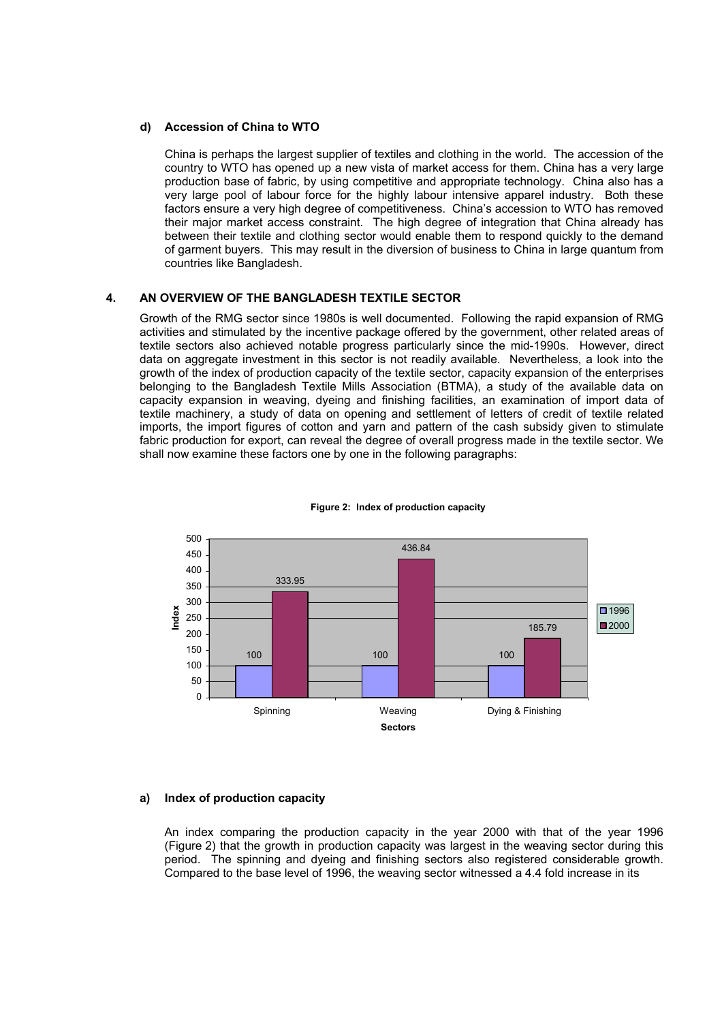#### **d) Accession of China to WTO**

China is perhaps the largest supplier of textiles and clothing in the world. The accession of the country to WTO has opened up a new vista of market access for them. China has a very large production base of fabric, by using competitive and appropriate technology. China also has a very large pool of labour force for the highly labour intensive apparel industry. Both these factors ensure a very high degree of competitiveness. China's accession to WTO has removed their major market access constraint. The high degree of integration that China already has between their textile and clothing sector would enable them to respond quickly to the demand of garment buyers. This may result in the diversion of business to China in large quantum from countries like Bangladesh.

#### **4. AN OVERVIEW OF THE BANGLADESH TEXTILE SECTOR**

Growth of the RMG sector since 1980s is well documented. Following the rapid expansion of RMG activities and stimulated by the incentive package offered by the government, other related areas of textile sectors also achieved notable progress particularly since the mid-1990s. However, direct data on aggregate investment in this sector is not readily available. Nevertheless, a look into the growth of the index of production capacity of the textile sector, capacity expansion of the enterprises belonging to the Bangladesh Textile Mills Association (BTMA), a study of the available data on capacity expansion in weaving, dyeing and finishing facilities, an examination of import data of textile machinery, a study of data on opening and settlement of letters of credit of textile related imports, the import figures of cotton and yarn and pattern of the cash subsidy given to stimulate fabric production for export, can reveal the degree of overall progress made in the textile sector. We shall now examine these factors one by one in the following paragraphs:



#### **Figure 2: Index of production capacity**

#### **a) Index of production capacity**

An index comparing the production capacity in the year 2000 with that of the year 1996 (Figure 2) that the growth in production capacity was largest in the weaving sector during this period. The spinning and dyeing and finishing sectors also registered considerable growth. Compared to the base level of 1996, the weaving sector witnessed a 4.4 fold increase in its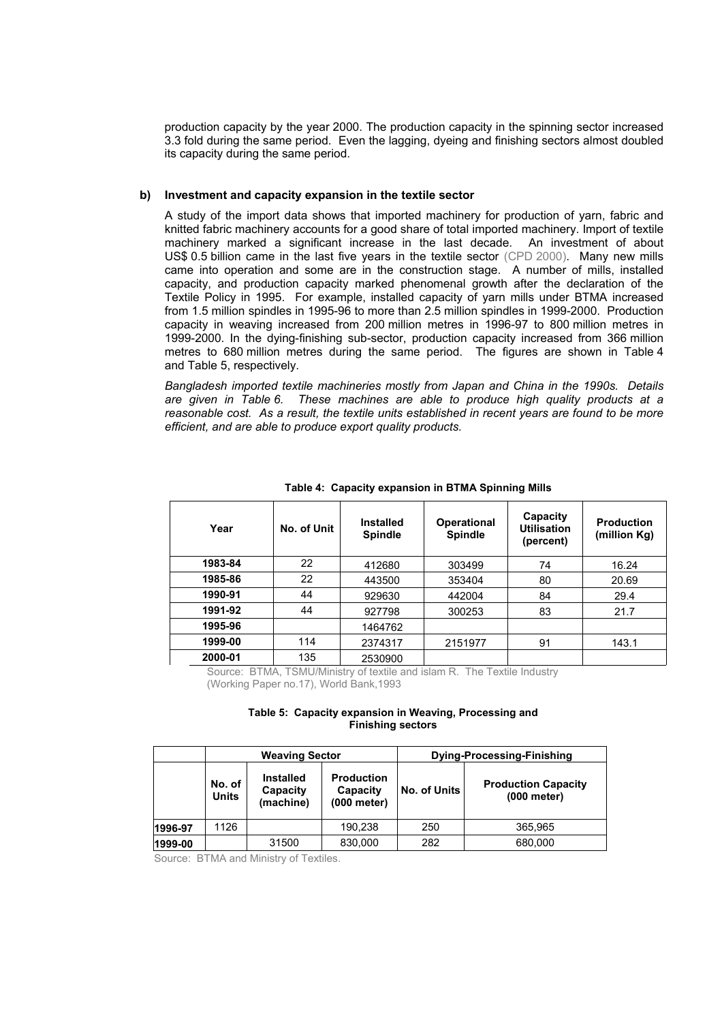production capacity by the year 2000. The production capacity in the spinning sector increased 3.3 fold during the same period. Even the lagging, dyeing and finishing sectors almost doubled its capacity during the same period.

#### **b) Investment and capacity expansion in the textile sector**

A study of the import data shows that imported machinery for production of yarn, fabric and knitted fabric machinery accounts for a good share of total imported machinery. Import of textile machinery marked a significant increase in the last decade. An investment of about US\$ 0.5 billion came in the last five years in the textile sector (CPD 2000). Many new mills came into operation and some are in the construction stage. A number of mills, installed capacity, and production capacity marked phenomenal growth after the declaration of the Textile Policy in 1995. For example, installed capacity of yarn mills under BTMA increased from 1.5 million spindles in 1995-96 to more than 2.5 million spindles in 1999-2000. Production capacity in weaving increased from 200 million metres in 1996-97 to 800 million metres in 1999-2000. In the dying-finishing sub-sector, production capacity increased from 366 million metres to 680 million metres during the same period. The figures are shown in Table 4 and Table 5, respectively.

*Bangladesh imported textile machineries mostly from Japan and China in the 1990s. Details are given in Table 6. These machines are able to produce high quality products at a reasonable cost. As a result, the textile units established in recent years are found to be more efficient, and are able to produce export quality products.* 

| Year    | No. of Unit | <b>Installed</b><br><b>Spindle</b> | <b>Operational</b><br><b>Spindle</b> | Capacity<br><b>Utilisation</b><br>(percent) | <b>Production</b><br>(million Kg) |
|---------|-------------|------------------------------------|--------------------------------------|---------------------------------------------|-----------------------------------|
| 1983-84 | 22          | 412680                             | 303499                               | 74                                          | 16.24                             |
| 1985-86 | 22          | 443500                             | 353404                               | 80                                          | 20.69                             |
| 1990-91 | 44          | 929630                             | 442004                               | 84                                          | 29.4                              |
| 1991-92 | 44          | 927798                             | 300253                               | 83                                          | 21.7                              |
| 1995-96 |             | 1464762                            |                                      |                                             |                                   |
| 1999-00 | 114         | 2374317                            | 2151977                              | 91                                          | 143.1                             |
| 2000-01 | 135         | 2530900                            |                                      |                                             |                                   |

**Table 4: Capacity expansion in BTMA Spinning Mills** 

Source: BTMA, TSMU/Ministry of textile and islam R. The Textile Industry

(Working Paper no.17), World Bank,1993

#### **Table 5: Capacity expansion in Weaving, Processing and Finishing sectors**

|         |                        | <b>Weaving Sector</b>                                                                     |         | Dying-Processing-Finishing |                                           |  |
|---------|------------------------|-------------------------------------------------------------------------------------------|---------|----------------------------|-------------------------------------------|--|
|         | No. of<br><b>Units</b> | <b>Installed</b><br><b>Production</b><br>Capacity<br>Capacity<br>(machine)<br>(000 meter) |         | No. of Units               | <b>Production Capacity</b><br>(000 meter) |  |
| 1996-97 | 1126                   |                                                                                           | 190.238 | 250                        | 365.965                                   |  |
| 1999-00 |                        | 31500                                                                                     | 830,000 | 282                        | 680,000                                   |  |

Source: BTMA and Ministry of Textiles.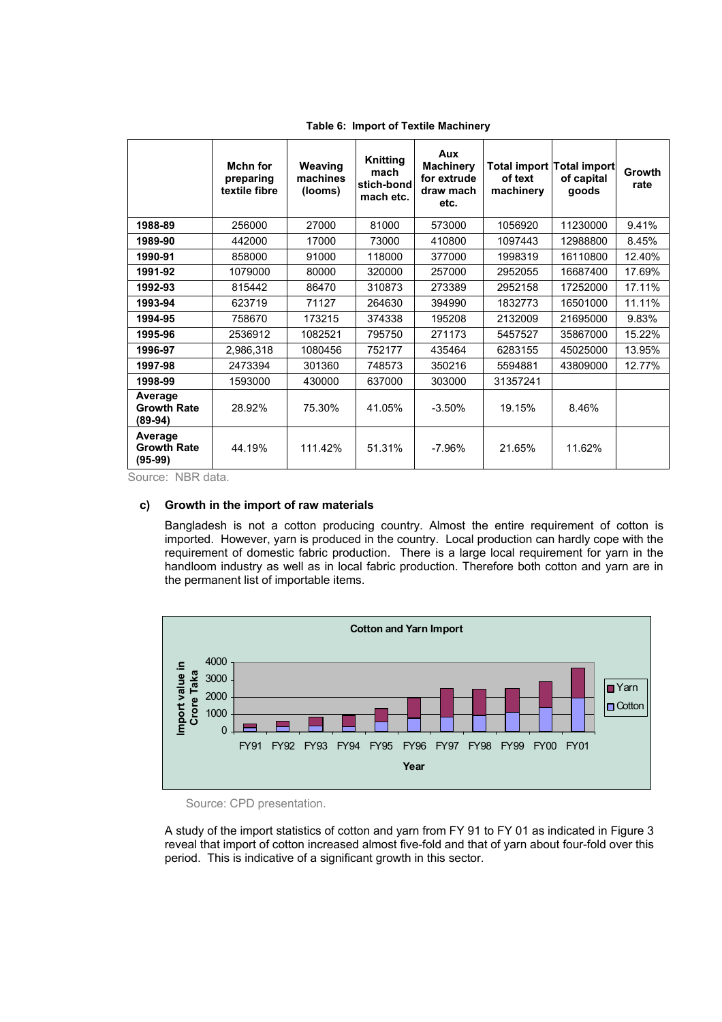|                                            | Mchn for<br>preparing<br>textile fibre | Weaving<br>machines<br>(looms) | Knitting<br>mach<br>stich-bond<br>mach etc. | Aux<br><b>Machinery</b><br>for extrude<br>draw mach<br>etc. | of text<br>machinery | Total import Total import<br>of capital<br>goods | <b>Growth</b><br>rate |
|--------------------------------------------|----------------------------------------|--------------------------------|---------------------------------------------|-------------------------------------------------------------|----------------------|--------------------------------------------------|-----------------------|
| 1988-89                                    | 256000                                 | 27000                          | 81000                                       | 573000                                                      | 1056920              | 11230000                                         | 9.41%                 |
| 1989-90                                    | 442000                                 | 17000                          | 73000                                       | 410800                                                      | 1097443              | 12988800                                         | 8.45%                 |
| 1990-91                                    | 858000                                 | 91000                          | 118000                                      | 377000                                                      | 1998319              | 16110800                                         | 12.40%                |
| 1991-92                                    | 1079000                                | 80000                          | 320000                                      | 257000                                                      | 2952055              | 16687400                                         | 17.69%                |
| 1992-93                                    | 815442                                 | 86470                          | 310873                                      | 273389                                                      | 2952158              | 17252000                                         | 17.11%                |
| 1993-94                                    | 623719                                 | 71127                          | 264630                                      | 394990                                                      | 1832773              | 16501000                                         | 11.11%                |
| 1994-95                                    | 758670                                 | 173215                         | 374338                                      | 195208                                                      | 2132009              | 21695000                                         | 9.83%                 |
| 1995-96                                    | 2536912                                | 1082521                        | 795750                                      | 271173                                                      | 5457527              | 35867000                                         | 15.22%                |
| 1996-97                                    | 2,986,318                              | 1080456                        | 752177                                      | 435464                                                      | 6283155              | 45025000                                         | 13.95%                |
| 1997-98                                    | 2473394                                | 301360                         | 748573                                      | 350216                                                      | 5594881              | 43809000                                         | 12.77%                |
| 1998-99                                    | 1593000                                | 430000                         | 637000                                      | 303000                                                      | 31357241             |                                                  |                       |
| Average<br><b>Growth Rate</b><br>(89-94)   | 28.92%                                 | 75.30%                         | 41.05%                                      | $-3.50%$                                                    | 19.15%               | 8.46%                                            |                       |
| Average<br><b>Growth Rate</b><br>$(95-99)$ | 44.19%                                 | 111.42%                        | 51.31%                                      | $-7.96%$                                                    | 21.65%               | 11.62%                                           |                       |

**Table 6: Import of Textile Machinery** 

Source: NBR data.

#### **c) Growth in the import of raw materials**

Bangladesh is not a cotton producing country. Almost the entire requirement of cotton is imported. However, yarn is produced in the country. Local production can hardly cope with the requirement of domestic fabric production. There is a large local requirement for yarn in the handloom industry as well as in local fabric production. Therefore both cotton and yarn are in the permanent list of importable items.



Source: CPD presentation.

A study of the import statistics of cotton and yarn from FY 91 to FY 01 as indicated in Figure 3 reveal that import of cotton increased almost five-fold and that of yarn about four-fold over this period. This is indicative of a significant growth in this sector.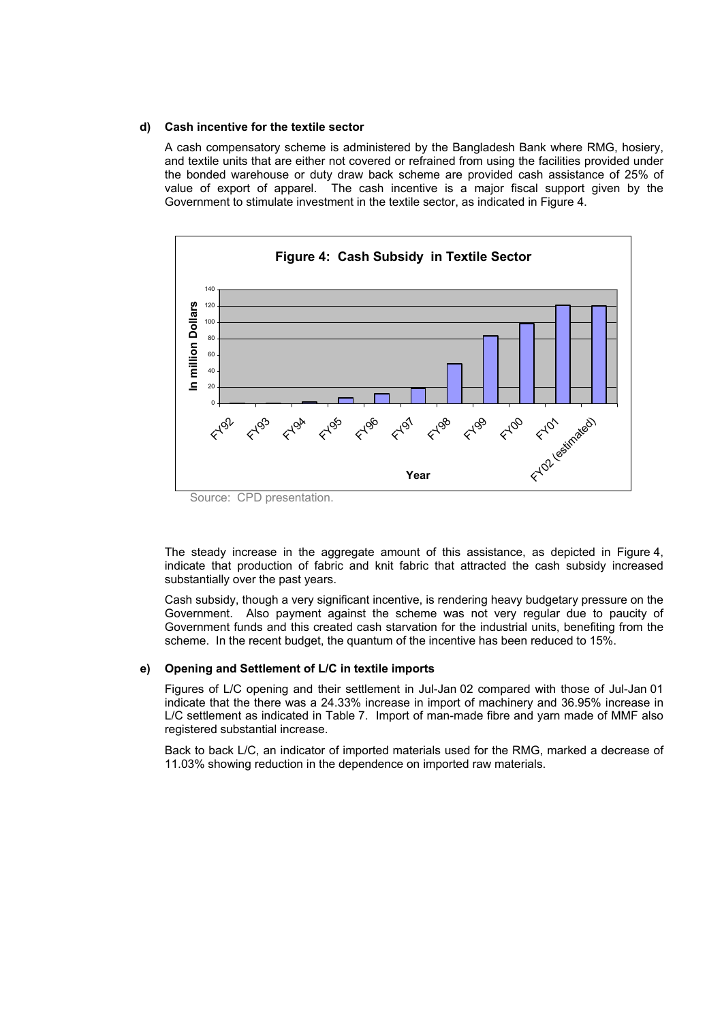#### **d) Cash incentive for the textile sector**

A cash compensatory scheme is administered by the Bangladesh Bank where RMG, hosiery, and textile units that are either not covered or refrained from using the facilities provided under the bonded warehouse or duty draw back scheme are provided cash assistance of 25% of value of export of apparel. The cash incentive is a major fiscal support given by the Government to stimulate investment in the textile sector, as indicated in Figure 4.



The steady increase in the aggregate amount of this assistance, as depicted in Figure 4, indicate that production of fabric and knit fabric that attracted the cash subsidy increased substantially over the past years.

Cash subsidy, though a very significant incentive, is rendering heavy budgetary pressure on the Government. Also payment against the scheme was not very regular due to paucity of Government funds and this created cash starvation for the industrial units, benefiting from the scheme. In the recent budget, the quantum of the incentive has been reduced to 15%.

#### **e) Opening and Settlement of L/C in textile imports**

Figures of L/C opening and their settlement in Jul-Jan 02 compared with those of Jul-Jan 01 indicate that the there was a 24.33% increase in import of machinery and 36.95% increase in L/C settlement as indicated in Table 7. Import of man-made fibre and yarn made of MMF also registered substantial increase.

Back to back L/C, an indicator of imported materials used for the RMG, marked a decrease of 11.03% showing reduction in the dependence on imported raw materials.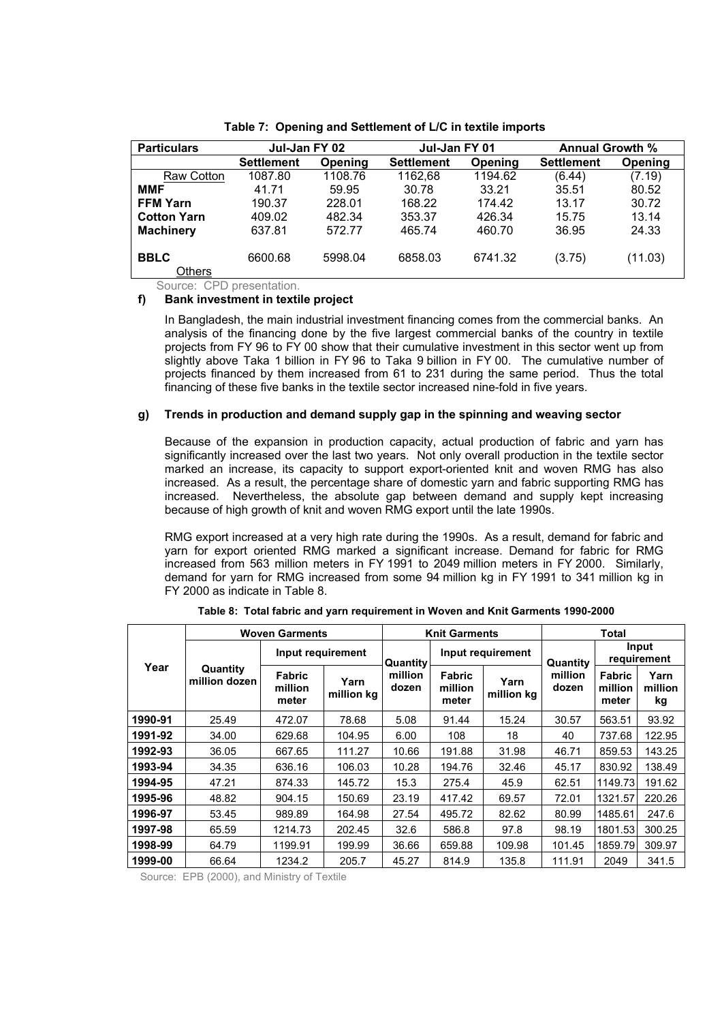| <b>Particulars</b>    | Jul-Jan FY 02     |         | Jul-Jan FY 01     |         | <b>Annual Growth %</b> |         |
|-----------------------|-------------------|---------|-------------------|---------|------------------------|---------|
|                       | <b>Settlement</b> | Opening | <b>Settlement</b> | Opening | <b>Settlement</b>      | Opening |
| Raw Cotton            | 1087.80           | 1108.76 | 1162,68           | 1194.62 | (6.44)                 | (7.19)  |
| <b>MMF</b>            | 41.71             | 59.95   | 30.78             | 33.21   | 35.51                  | 80.52   |
| <b>FFM Yarn</b>       | 190.37            | 228.01  | 168.22            | 174.42  | 13.17                  | 30.72   |
| <b>Cotton Yarn</b>    | 409.02            | 482.34  | 353.37            | 426.34  | 15.75                  | 13.14   |
| <b>Machinery</b>      | 637.81            | 572.77  | 465.74            | 460.70  | 36.95                  | 24.33   |
| <b>BBLC</b><br>Others | 6600.68           | 5998.04 | 6858.03           | 6741.32 | (3.75)                 | (11.03) |

**Table 7: Opening and Settlement of L/C in textile imports** 

Source: CPD presentation.

#### **f) Bank investment in textile project**

In Bangladesh, the main industrial investment financing comes from the commercial banks. An analysis of the financing done by the five largest commercial banks of the country in textile projects from FY 96 to FY 00 show that their cumulative investment in this sector went up from slightly above Taka 1 billion in FY 96 to Taka 9 billion in FY 00. The cumulative number of projects financed by them increased from 61 to 231 during the same period. Thus the total financing of these five banks in the textile sector increased nine-fold in five years.

#### **g) Trends in production and demand supply gap in the spinning and weaving sector**

Because of the expansion in production capacity, actual production of fabric and yarn has significantly increased over the last two years. Not only overall production in the textile sector marked an increase, its capacity to support export-oriented knit and woven RMG has also increased. As a result, the percentage share of domestic yarn and fabric supporting RMG has increased. Nevertheless, the absolute gap between demand and supply kept increasing because of high growth of knit and woven RMG export until the late 1990s.

RMG export increased at a very high rate during the 1990s. As a result, demand for fabric and yarn for export oriented RMG marked a significant increase. Demand for fabric for RMG increased from 563 million meters in FY 1991 to 2049 million meters in FY 2000. Similarly, demand for yarn for RMG increased from some 94 million kg in FY 1991 to 341 million kg in FY 2000 as indicate in Table 8.

|         | <b>Woven Garments</b>     | <b>Knit Garments</b>              |                    |                  | Total                             |                    |                  |                                   |                       |
|---------|---------------------------|-----------------------------------|--------------------|------------------|-----------------------------------|--------------------|------------------|-----------------------------------|-----------------------|
| Year    |                           | Input requirement                 |                    | Quantity         | Input requirement                 |                    | Quantity         | Input<br>requirement              |                       |
|         | Quantity<br>million dozen | <b>Fabric</b><br>million<br>meter | Yarn<br>million kg | million<br>dozen | <b>Fabric</b><br>million<br>meter | Yarn<br>million ka | million<br>dozen | <b>Fabric</b><br>million<br>meter | Yarn<br>million<br>kg |
| 1990-91 | 25.49                     | 472.07                            | 78.68              | 5.08             | 91.44                             | 15.24              | 30.57            | 563.51                            | 93.92                 |
| 1991-92 | 34.00                     | 629.68                            | 104.95             | 6.00             | 108                               | 18                 | 40               | 737.68                            | 122.95                |
| 1992-93 | 36.05                     | 667.65                            | 111.27             | 10.66            | 191.88                            | 31.98              | 46.71            | 859.53                            | 143.25                |
| 1993-94 | 34.35                     | 636.16                            | 106.03             | 10.28            | 194.76                            | 32.46              | 45.17            | 830.92                            | 138.49                |
| 1994-95 | 47.21                     | 874.33                            | 145.72             | 15.3             | 275.4                             | 45.9               | 62.51            | 1149.73                           | 191.62                |
| 1995-96 | 48.82                     | 904.15                            | 150.69             | 23.19            | 417.42                            | 69.57              | 72.01            | 1321.57                           | 220.26                |
| 1996-97 | 53.45                     | 989.89                            | 164.98             | 27.54            | 495.72                            | 82.62              | 80.99            | 1485.61                           | 247.6                 |
| 1997-98 | 65.59                     | 1214.73                           | 202.45             | 32.6             | 586.8                             | 97.8               | 98.19            | 1801.53                           | 300.25                |
| 1998-99 | 64.79                     | 1199.91                           | 199.99             | 36.66            | 659.88                            | 109.98             | 101.45           | 1859.79                           | 309.97                |
| 1999-00 | 66.64                     | 1234.2                            | 205.7              | 45.27            | 814.9                             | 135.8              | 111.91           | 2049                              | 341.5                 |

**Table 8: Total fabric and yarn requirement in Woven and Knit Garments 1990-2000** 

Source: EPB (2000), and Ministry of Textile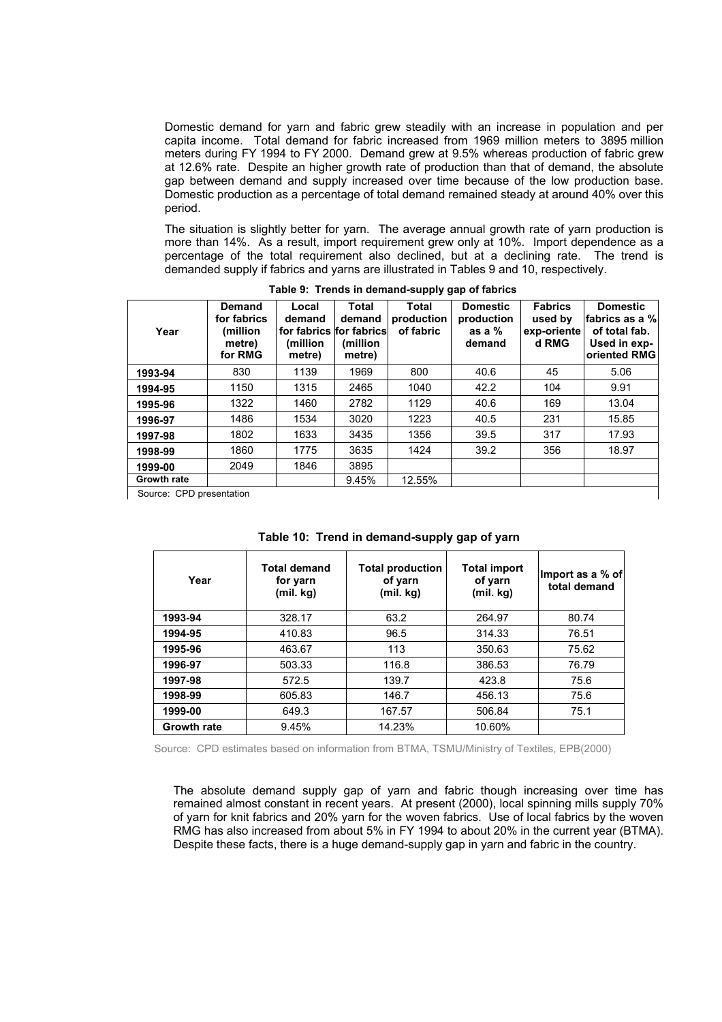Domestic demand for yarn and fabric grew steadily with an increase in population and per capita income. Total demand for fabric increased from 1969 million meters to 3895 million meters during FY 1994 to FY 2000. Demand grew at 9.5% whereas production of fabric grew at 12.6% rate. Despite an higher growth rate of production than that of demand, the absolute gap between demand and supply increased over time because of the low production base. Domestic production as a percentage of total demand remained steady at around 40% over this period.

The situation is slightly better for yarn. The average annual growth rate of yarn production is more than 14%. As a result, import requirement grew only at 10%. Import dependence as a percentage of the total requirement also declined, but at a declining rate. The trend is demanded supply if fabrics and yarns are illustrated in Tables 9 and 10, respectively.

| Year                     | <b>Demand</b><br>for fabrics<br>(million<br>metre)<br>for RMG | Local<br>demand<br>for fabrics for fabrics<br>(million<br>metre) | Total<br>demand<br>(million)<br>metre) | Total<br>production<br>of fabric | <b>Domestic</b><br>production<br>as a $%$<br>demand | <b>Fabrics</b><br>used by<br>exp-oriente<br>d RMG | <b>Domestic</b><br>fabrics as a %<br>of total fab.<br>Used in exp-<br>oriented RMG |
|--------------------------|---------------------------------------------------------------|------------------------------------------------------------------|----------------------------------------|----------------------------------|-----------------------------------------------------|---------------------------------------------------|------------------------------------------------------------------------------------|
| 1993-94                  | 830                                                           | 1139                                                             | 1969                                   | 800                              | 40.6                                                | 45                                                | 5.06                                                                               |
| 1994-95                  | 1150                                                          | 1315                                                             | 2465                                   | 1040                             | 42.2                                                | 104                                               | 9.91                                                                               |
| 1995-96                  | 1322                                                          | 1460                                                             | 2782                                   | 1129                             | 40.6                                                | 169                                               | 13.04                                                                              |
| 1996-97                  | 1486                                                          | 1534                                                             | 3020                                   | 1223                             | 40.5                                                | 231                                               | 15.85                                                                              |
| 1997-98                  | 1802                                                          | 1633                                                             | 3435                                   | 1356                             | 39.5                                                | 317                                               | 17.93                                                                              |
| 1998-99                  | 1860                                                          | 1775                                                             | 3635                                   | 1424                             | 39.2                                                | 356                                               | 18.97                                                                              |
| 1999-00                  | 2049                                                          | 1846                                                             | 3895                                   |                                  |                                                     |                                                   |                                                                                    |
| <b>Growth rate</b>       |                                                               |                                                                  | 9.45%                                  | 12.55%                           |                                                     |                                                   |                                                                                    |
| Source: CPD presentation |                                                               |                                                                  |                                        |                                  |                                                     |                                                   |                                                                                    |

**Table 9: Trends in demand-supply gap of fabrics** 

Source: CPD presentation

|  |  | Table 10: Trend in demand-supply gap of yarn |  |
|--|--|----------------------------------------------|--|
|--|--|----------------------------------------------|--|

| Year               | <b>Total demand</b><br>for yarn<br>(mil. kg) | <b>Total production</b><br>of yarn<br>(mil. kg) | <b>Total import</b><br>of yarn<br>(mil. kg) | Import as a % of<br>total demand |
|--------------------|----------------------------------------------|-------------------------------------------------|---------------------------------------------|----------------------------------|
| 1993-94            | 328.17                                       | 63.2                                            | 264.97                                      | 80.74                            |
| 1994-95            | 410.83                                       | 96.5                                            | 314.33                                      | 76.51                            |
| 1995-96            | 463.67                                       | 113                                             | 350.63                                      | 75.62                            |
| 1996-97            | 503.33                                       | 116.8                                           | 386.53                                      | 76.79                            |
| 1997-98            | 572.5                                        | 139.7                                           | 423.8                                       | 75.6                             |
| 1998-99            | 605.83                                       | 146.7                                           | 456.13                                      | 75.6                             |
| 1999-00            | 649.3                                        | 167.57                                          | 506.84                                      | 75.1                             |
| <b>Growth rate</b> | 9.45%                                        | 14.23%                                          | 10.60%                                      |                                  |

Source: CPD estimates based on information from BTMA, TSMU/Ministry of Textiles, EPB(2000)

The absolute demand supply gap of yarn and fabric though increasing over time has remained almost constant in recent years. At present (2000), local spinning mills supply 70% of yarn for knit fabrics and 20% yarn for the woven fabrics. Use of local fabrics by the woven RMG has also increased from about 5% in FY 1994 to about 20% in the current year (BTMA). Despite these facts, there is a huge demand-supply gap in yarn and fabric in the country.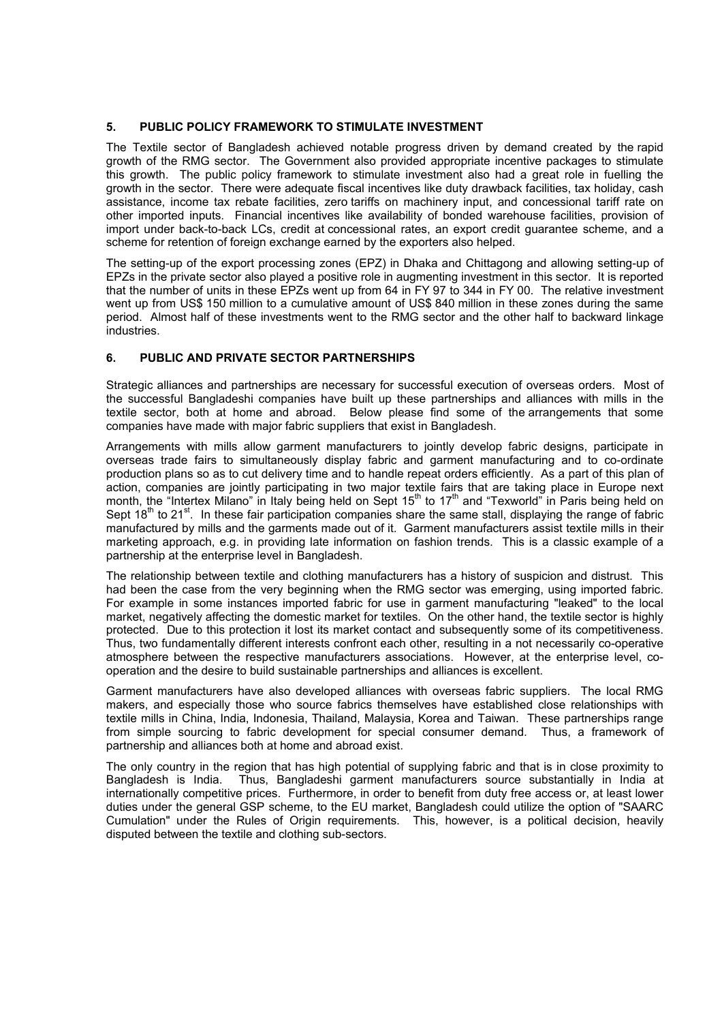#### **5. PUBLIC POLICY FRAMEWORK TO STIMULATE INVESTMENT**

The Textile sector of Bangladesh achieved notable progress driven by demand created by the rapid growth of the RMG sector. The Government also provided appropriate incentive packages to stimulate this growth. The public policy framework to stimulate investment also had a great role in fuelling the growth in the sector. There were adequate fiscal incentives like duty drawback facilities, tax holiday, cash assistance, income tax rebate facilities, zero tariffs on machinery input, and concessional tariff rate on other imported inputs. Financial incentives like availability of bonded warehouse facilities, provision of import under back-to-back LCs, credit at concessional rates, an export credit guarantee scheme, and a scheme for retention of foreign exchange earned by the exporters also helped.

The setting-up of the export processing zones (EPZ) in Dhaka and Chittagong and allowing setting-up of EPZs in the private sector also played a positive role in augmenting investment in this sector. It is reported that the number of units in these EPZs went up from 64 in FY 97 to 344 in FY 00. The relative investment went up from US\$ 150 million to a cumulative amount of US\$ 840 million in these zones during the same period. Almost half of these investments went to the RMG sector and the other half to backward linkage industries.

#### **6. PUBLIC AND PRIVATE SECTOR PARTNERSHIPS**

Strategic alliances and partnerships are necessary for successful execution of overseas orders. Most of the successful Bangladeshi companies have built up these partnerships and alliances with mills in the textile sector, both at home and abroad. Below please find some of the arrangements that some companies have made with major fabric suppliers that exist in Bangladesh.

Arrangements with mills allow garment manufacturers to jointly develop fabric designs, participate in overseas trade fairs to simultaneously display fabric and garment manufacturing and to co-ordinate production plans so as to cut delivery time and to handle repeat orders efficiently. As a part of this plan of action, companies are jointly participating in two major textile fairs that are taking place in Europe next month, the "Intertex Milano" in Italy being held on Sept 15<sup>th</sup> to 17<sup>th</sup> and "Texworld" in Paris being held on Sept  $18<sup>th</sup>$  to  $21<sup>st</sup>$ . In these fair participation companies share the same stall, displaying the range of fabric manufactured by mills and the garments made out of it. Garment manufacturers assist textile mills in their marketing approach, e.g. in providing late information on fashion trends. This is a classic example of a partnership at the enterprise level in Bangladesh.

The relationship between textile and clothing manufacturers has a history of suspicion and distrust. This had been the case from the very beginning when the RMG sector was emerging, using imported fabric. For example in some instances imported fabric for use in garment manufacturing "leaked" to the local market, negatively affecting the domestic market for textiles. On the other hand, the textile sector is highly protected. Due to this protection it lost its market contact and subsequently some of its competitiveness. Thus, two fundamentally different interests confront each other, resulting in a not necessarily co-operative atmosphere between the respective manufacturers associations. However, at the enterprise level, cooperation and the desire to build sustainable partnerships and alliances is excellent.

Garment manufacturers have also developed alliances with overseas fabric suppliers. The local RMG makers, and especially those who source fabrics themselves have established close relationships with textile mills in China, India, Indonesia, Thailand, Malaysia, Korea and Taiwan. These partnerships range from simple sourcing to fabric development for special consumer demand. Thus, a framework of partnership and alliances both at home and abroad exist.

The only country in the region that has high potential of supplying fabric and that is in close proximity to Bangladesh is India. Thus, Bangladeshi garment manufacturers source substantially in India at internationally competitive prices. Furthermore, in order to benefit from duty free access or, at least lower duties under the general GSP scheme, to the EU market, Bangladesh could utilize the option of "SAARC Cumulation" under the Rules of Origin requirements. This, however, is a political decision, heavily disputed between the textile and clothing sub-sectors.